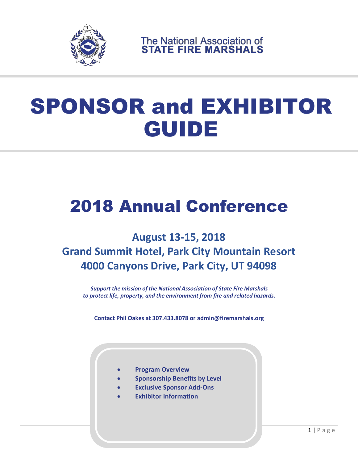

The National Association of<br>STATE FIRE MARSHALS

# SPONSOR and EXHIBITOR GUIDE

## 2018 Annual Conference

### **August 13-15, 2018 Grand Summit Hotel, Park City Mountain Resort 4000 Canyons Drive, Park City, UT 94098**

*Support the mission of the National Association of State Fire Marshals to protect life, property, and the environment from fire and related hazards.*

**Contact Phil Oakes at 307.433.8078 or admin@firemarshals.org**

- **Program Overview**
- **Sponsorship Benefits by Level**
- **Exclusive Sponsor Add-Ons**
- **Exhibitor Information**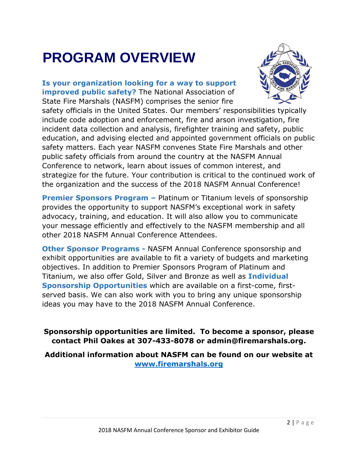## **PROGRAM OVERVIEW**

**Is your organization looking for a way to support improved public safety?** The National Association of State Fire Marshals (NASFM) comprises the senior fire



safety officials in the United States. Our members' responsibilities typically include code adoption and enforcement, fire and arson investigation, fire incident data collection and analysis, firefighter training and safety, public education, and advising elected and appointed government officials on public safety matters. Each year NASFM convenes State Fire Marshals and other public safety officials from around the country at the NASFM Annual Conference to network, learn about issues of common interest, and strategize for the future. Your contribution is critical to the continued work of the organization and the success of the 2018 NASFM Annual Conference!

**Premier Sponsors Program –** Platinum or Titanium levels of sponsorship provides the opportunity to support NASFM's exceptional work in safety advocacy, training, and education. It will also allow you to communicate your message efficiently and effectively to the NASFM membership and all other 2018 NASFM Annual Conference Attendees.

**Other Sponsor Programs -** NASFM Annual Conference sponsorship and exhibit opportunities are available to fit a variety of budgets and marketing objectives. In addition to Premier Sponsors Program of Platinum and Titanium, we also offer Gold, Silver and Bronze as well as **Individual Sponsorship Opportunities** which are available on a first-come, firstserved basis. We can also work with you to bring any unique sponsorship ideas you may have to the 2018 NASFM Annual Conference.

### **Sponsorship opportunities are limited. To become a sponsor, please contact Phil Oakes at 307-433-8078 or admin@firemarshals.org.**

**Additional information about NASFM can be found on our website at [www.firemarshals.org](http://www.firemarshals.org/)**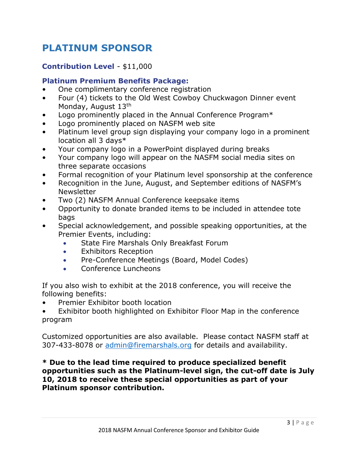### **PLATINUM SPONSOR**

### **Contribution Level** - \$11,000

### **Platinum Premium Benefits Package:**

- One complimentary conference registration
- Four (4) tickets to the Old West Cowboy Chuckwagon Dinner event Monday, August 13th
- Logo prominently placed in the Annual Conference Program\*
- Logo prominently placed on NASFM web site
- Platinum level group sign displaying your company logo in a prominent location all 3 days\*
- Your company logo in a PowerPoint displayed during breaks
- Your company logo will appear on the NASFM social media sites on three separate occasions
- Formal recognition of your Platinum level sponsorship at the conference
- Recognition in the June, August, and September editions of NASFM's Newsletter
- Two (2) NASFM Annual Conference keepsake items
- Opportunity to donate branded items to be included in attendee tote bags
- Special acknowledgement, and possible speaking opportunities, at the Premier Events, including:
	- State Fire Marshals Only Breakfast Forum
	- Exhibitors Reception
	- Pre-Conference Meetings (Board, Model Codes)
	- Conference Luncheons

If you also wish to exhibit at the 2018 conference, you will receive the following benefits:

- Premier Exhibitor booth location
- Exhibitor booth highlighted on Exhibitor Floor Map in the conference program

Customized opportunities are also available. Please contact NASFM staff at 307-433-8078 or [admin@firemarshals.org](mailto:admin@firemarshals.org) for details and availability.

**\* Due to the lead time required to produce specialized benefit opportunities such as the Platinum-level sign, the cut-off date is July 10, 2018 to receive these special opportunities as part of your Platinum sponsor contribution.**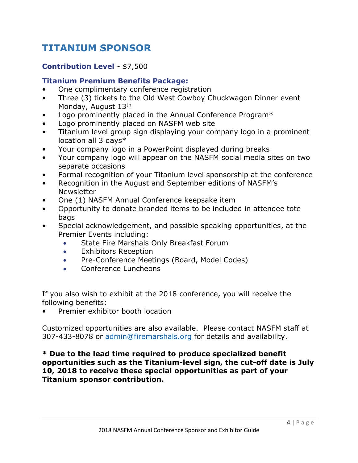### **TITANIUM SPONSOR**

### **Contribution Level** - \$7,500

### **Titanium Premium Benefits Package:**

- One complimentary conference registration
- Three (3) tickets to the Old West Cowboy Chuckwagon Dinner event Monday, August 13th
- Logo prominently placed in the Annual Conference Program\*
- Logo prominently placed on NASFM web site
- Titanium level group sign displaying your company logo in a prominent location all 3 days\*
- Your company logo in a PowerPoint displayed during breaks
- Your company logo will appear on the NASFM social media sites on two separate occasions
- Formal recognition of your Titanium level sponsorship at the conference
- Recognition in the August and September editions of NASFM's Newsletter
- One (1) NASFM Annual Conference keepsake item
- Opportunity to donate branded items to be included in attendee tote bags
- Special acknowledgement, and possible speaking opportunities, at the Premier Events including:
	- State Fire Marshals Only Breakfast Forum
	- Exhibitors Reception
	- Pre-Conference Meetings (Board, Model Codes)
	- Conference Luncheons

If you also wish to exhibit at the 2018 conference, you will receive the following benefits:

• Premier exhibitor booth location

Customized opportunities are also available. Please contact NASFM staff at 307-433-8078 or [admin@firemarshals.org](mailto:admin@firemarshals.org) for details and availability.

**\* Due to the lead time required to produce specialized benefit opportunities such as the Titanium-level sign, the cut-off date is July 10, 2018 to receive these special opportunities as part of your Titanium sponsor contribution.**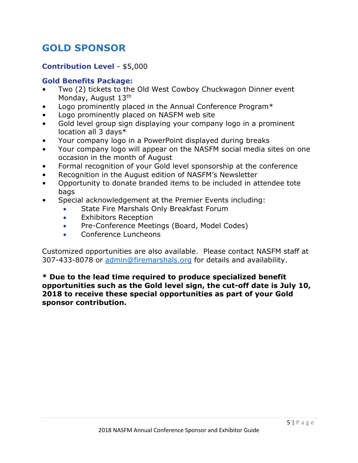### **GOLD SPONSOR**

### **Contribution Level** - \$5,000

### **Gold Benefits Package:**

- Two (2) tickets to the Old West Cowboy Chuckwagon Dinner event Monday, August 13th
- Logo prominently placed in the Annual Conference Program\*
- Logo prominently placed on NASFM web site
- Gold level group sign displaying your company logo in a prominent location all 3 days\*
- Your company logo in a PowerPoint displayed during breaks
- Your company logo will appear on the NASFM social media sites on one occasion in the month of August
- Formal recognition of your Gold level sponsorship at the conference
- Recognition in the August edition of NASFM's Newsletter
- Opportunity to donate branded items to be included in attendee tote bags
- Special acknowledgement at the Premier Events including:
	- State Fire Marshals Only Breakfast Forum
	- Exhibitors Reception
	- Pre-Conference Meetings (Board, Model Codes)
	- Conference Luncheons

Customized opportunities are also available. Please contact NASFM staff at 307-433-8078 or [admin@firemarshals.org](mailto:admin@firemarshals.org) for details and availability.

### **\* Due to the lead time required to produce specialized benefit opportunities such as the Gold level sign, the cut-off date is July 10, 2018 to receive these special opportunities as part of your Gold sponsor contribution.**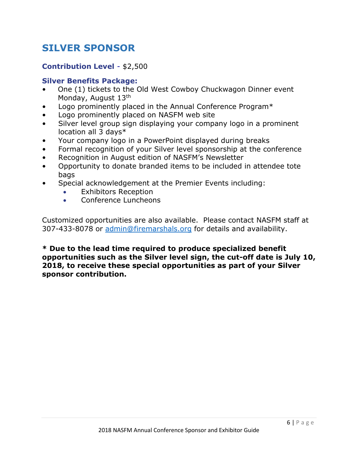### **SILVER SPONSOR**

### **Contribution Level** - \$2,500

### **Silver Benefits Package:**

- One (1) tickets to the Old West Cowboy Chuckwagon Dinner event Monday, August 13th
- Logo prominently placed in the Annual Conference Program\*
- Logo prominently placed on NASFM web site
- Silver level group sign displaying your company logo in a prominent location all 3 days\*
- Your company logo in a PowerPoint displayed during breaks
- Formal recognition of your Silver level sponsorship at the conference
- Recognition in August edition of NASFM's Newsletter
- Opportunity to donate branded items to be included in attendee tote bags
- Special acknowledgement at the Premier Events including:
	- Exhibitors Reception
	- Conference Luncheons

Customized opportunities are also available. Please contact NASFM staff at 307-433-8078 or [admin@firemarshals.org](mailto:admin@firemarshals.org) for details and availability.

**\* Due to the lead time required to produce specialized benefit opportunities such as the Silver level sign, the cut-off date is July 10, 2018, to receive these special opportunities as part of your Silver sponsor contribution.**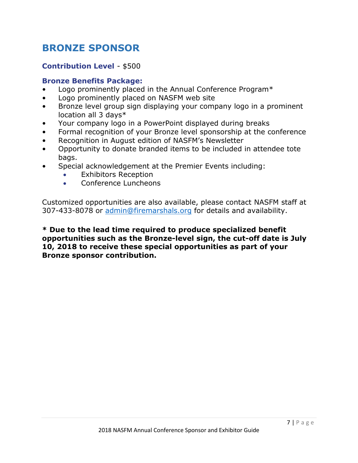### **BRONZE SPONSOR**

### **Contribution Level** - \$500

### **Bronze Benefits Package:**

- Logo prominently placed in the Annual Conference Program\*
- Logo prominently placed on NASFM web site
- Bronze level group sign displaying your company logo in a prominent location all 3 days\*
- Your company logo in a PowerPoint displayed during breaks
- Formal recognition of your Bronze level sponsorship at the conference
- Recognition in August edition of NASFM's Newsletter
- Opportunity to donate branded items to be included in attendee tote bags.
- Special acknowledgement at the Premier Events including:
	- Exhibitors Reception
	- Conference Luncheons

Customized opportunities are also available, please contact NASFM staff at 307-433-8078 or [admin@firemarshals.org](mailto:admin@firemarshals.org) for details and availability.

**\* Due to the lead time required to produce specialized benefit opportunities such as the Bronze-level sign, the cut-off date is July 10, 2018 to receive these special opportunities as part of your Bronze sponsor contribution.**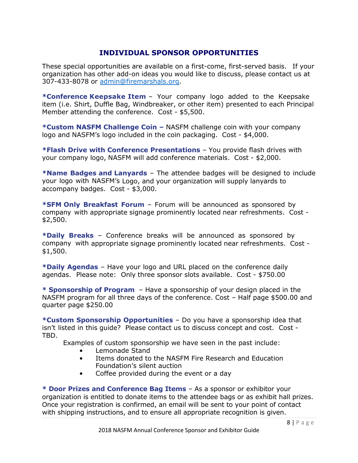### **INDIVIDUAL SPONSOR OPPORTUNITIES**

These special opportunities are available on a first-come, first-served basis. If your organization has other add-on ideas you would like to discuss, please contact us at 307-433-8078 or [admin@firemarshals.org.](mailto:admin@firemarshals.org)

**\*Conference Keepsake Item** – Your company logo added to the Keepsake item (i.e. Shirt, Duffle Bag, Windbreaker, or other item) presented to each Principal Member attending the conference. Cost - \$5,500.

**\*Custom NASFM Challenge Coin –** NASFM challenge coin with your company logo and NASFM's logo included in the coin packaging. Cost - \$4,000.

**\*Flash Drive with Conference Presentations** – You provide flash drives with your company logo, NASFM will add conference materials. Cost - \$2,000.

**\*Name Badges and Lanyards** – The attendee badges will be designed to include your logo with NASFM's Logo, and your organization will supply lanyards to accompany badges. Cost - \$3,000.

**\*SFM Only Breakfast Forum** – Forum will be announced as sponsored by company with appropriate signage prominently located near refreshments. Cost - \$2,500.

**\*Daily Breaks** – Conference breaks will be announced as sponsored by company with appropriate signage prominently located near refreshments. Cost - \$1,500.

**\*Daily Agendas** – Have your logo and URL placed on the conference daily agendas. Please note: Only three sponsor slots available. Cost - \$750.00

**\* Sponsorship of Program** – Have a sponsorship of your design placed in the NASFM program for all three days of the conference. Cost – Half page \$500.00 and quarter page \$250.00

**\*Custom Sponsorship Opportunities** – Do you have a sponsorship idea that isn't listed in this guide? Please contact us to discuss concept and cost. Cost - TBD.

Examples of custom sponsorship we have seen in the past include:

- Lemonade Stand
- Items donated to the NASFM Fire Research and Education Foundation's silent auction
- Coffee provided during the event or a day

**\* Door Prizes and Conference Bag Items** – As a sponsor or exhibitor your organization is entitled to donate items to the attendee bags or as exhibit hall prizes. Once your registration is confirmed, an email will be sent to your point of contact with shipping instructions, and to ensure all appropriate recognition is given.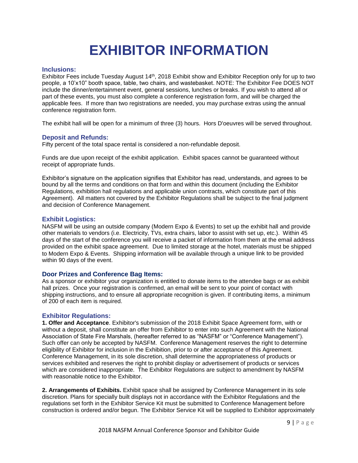## **EXHIBITOR INFORMATION**

#### **Inclusions:**

Exhibitor Fees include Tuesday August 14th, 2018 Exhibit show and Exhibitor Reception only for up to two people, a 10'x10" booth space, table, two chairs, and wastebasket. NOTE: The Exhibitor Fee DOES NOT include the dinner/entertainment event, general sessions, lunches or breaks. If you wish to attend all or part of these events, you must also complete a conference registration form, and will be charged the applicable fees. If more than two registrations are needed, you may purchase extras using the annual conference registration form.

The exhibit hall will be open for a minimum of three (3) hours. Hors D'oeuvres will be served throughout.

#### **Deposit and Refunds:**

Fifty percent of the total space rental is considered a non-refundable deposit.

Funds are due upon receipt of the exhibit application. Exhibit spaces cannot be guaranteed without receipt of appropriate funds.

Exhibitor's signature on the application signifies that Exhibitor has read, understands, and agrees to be bound by all the terms and conditions on that form and within this document (including the Exhibitor Regulations, exhibition hall regulations and applicable union contracts, which constitute part of this Agreement). All matters not covered by the Exhibitor Regulations shall be subject to the final judgment and decision of Conference Management.

#### **Exhibit Logistics:**

NASFM will be using an outside company (Modern Expo & Events) to set up the exhibit hall and provide other materials to vendors (i.e. Electricity, TVs, extra chairs, labor to assist with set up, etc.). Within 45 days of the start of the conference you will receive a packet of information from them at the email address provided on the exhibit space agreement. Due to limited storage at the hotel, materials must be shipped to Modern Expo & Events. Shipping information will be available through a unique link to be provided within 90 days of the event.

#### **Door Prizes and Conference Bag Items:**

As a sponsor or exhibitor your organization is entitled to donate items to the attendee bags or as exhibit hall prizes. Once your registration is confirmed, an email will be sent to your point of contact with shipping instructions, and to ensure all appropriate recognition is given. If contributing items, a minimum of 200 of each item is required.

#### **Exhibitor Regulations:**

**1. Offer and Acceptance**. Exhibitor's submission of the 2018 Exhibit Space Agreement form, with or without a deposit, shall constitute an offer from Exhibitor to enter into such Agreement with the National Association of State Fire Marshals, (hereafter referred to as "NASFM" or "Conference Management"). Such offer can only be accepted by NASFM. Conference Management reserves the right to determine eligibility of Exhibitor for inclusion in the Exhibition, prior to or after acceptance of this Agreement. Conference Management, in its sole discretion, shall determine the appropriateness of products or services exhibited and reserves the right to prohibit display or advertisement of products or services which are considered inappropriate. The Exhibitor Regulations are subject to amendment by NASFM with reasonable notice to the Exhibitor.

**2. Arrangements of Exhibits.** Exhibit space shall be assigned by Conference Management in its sole discretion. Plans for specially built displays not in accordance with the Exhibitor Regulations and the regulations set forth in the Exhibitor Service Kit must be submitted to Conference Management before construction is ordered and/or begun. The Exhibitor Service Kit will be supplied to Exhibitor approximately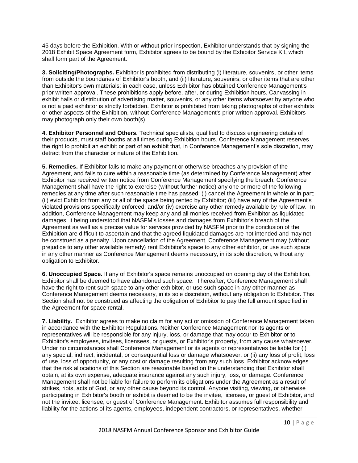45 days before the Exhibition. With or without prior inspection, Exhibitor understands that by signing the 2018 Exhibit Space Agreement form, Exhibitor agrees to be bound by the Exhibitor Service Kit, which shall form part of the Agreement.

**3. Soliciting/Photographs.** Exhibitor is prohibited from distributing (i) literature, souvenirs, or other items from outside the boundaries of Exhibitor's booth, and (ii) literature, souvenirs, or other items that are other than Exhibitor's own materials; in each case, unless Exhibitor has obtained Conference Management's prior written approval. These prohibitions apply before, after, or during Exhibition hours. Canvassing in exhibit halls or distribution of advertising matter, souvenirs, or any other items whatsoever by anyone who is not a paid exhibitor is strictly forbidden. Exhibitor is prohibited from taking photographs of other exhibits or other aspects of the Exhibition, without Conference Management's prior written approval. Exhibitors may photograph only their own booth(s).

**4. Exhibitor Personnel and Others.** Technical specialists, qualified to discuss engineering details of their products, must staff booths at all times during Exhibition hours. Conference Management reserves the right to prohibit an exhibit or part of an exhibit that, in Conference Management's sole discretion, may detract from the character or nature of the Exhibition.

**5. Remedies.** If Exhibitor fails to make any payment or otherwise breaches any provision of the Agreement, and fails to cure within a reasonable time (as determined by Conference Management) after Exhibitor has received written notice from Conference Management specifying the breach, Conference Management shall have the right to exercise (without further notice) any one or more of the following remedies at any time after such reasonable time has passed: (i) cancel the Agreement in whole or in part; (ii) evict Exhibitor from any or all of the space being rented by Exhibitor; (iii) have any of the Agreement's violated provisions specifically enforced; and/or (iv) exercise any other remedy available by rule of law. In addition, Conference Management may keep any and all monies received from Exhibitor as liquidated damages, it being understood that NASFM's losses and damages from Exhibitor's breach of the Agreement as well as a precise value for services provided by NASFM prior to the conclusion of the Exhibition are difficult to ascertain and that the agreed liquidated damages are not intended and may not be construed as a penalty. Upon cancellation of the Agreement, Conference Management may (without prejudice to any other available remedy) rent Exhibitor's space to any other exhibitor, or use such space in any other manner as Conference Management deems necessary, in its sole discretion, without any obligation to Exhibitor.

**6. Unoccupied Space.** If any of Exhibitor's space remains unoccupied on opening day of the Exhibition, Exhibitor shall be deemed to have abandoned such space. Thereafter, Conference Management shall have the right to rent such space to any other exhibitor, or use such space in any other manner as Conference Management deems necessary, in its sole discretion, without any obligation to Exhibitor. This Section shall not be construed as affecting the obligation of Exhibitor to pay the full amount specified in the Agreement for space rental.

**7. Liability.** Exhibitor agrees to make no claim for any act or omission of Conference Management taken in accordance with the Exhibitor Regulations. Neither Conference Management nor its agents or representatives will be responsible for any injury, loss, or damage that may occur to Exhibitor or to Exhibitor's employees, invitees, licensees, or guests, or Exhibitor's property, from any cause whatsoever. Under no circumstances shall Conference Management or its agents or representatives be liable for (i) any special, indirect, incidental, or consequential loss or damage whatsoever, or (ii) any loss of profit, loss of use, loss of opportunity, or any cost or damage resulting from any such loss. Exhibitor acknowledges that the risk allocations of this Section are reasonable based on the understanding that Exhibitor shall obtain, at its own expense, adequate insurance against any such injury, loss, or damage. Conference Management shall not be liable for failure to perform its obligations under the Agreement as a result of strikes, riots, acts of God, or any other cause beyond its control. Anyone visiting, viewing, or otherwise participating in Exhibitor's booth or exhibit is deemed to be the invitee, licensee, or guest of Exhibitor, and not the invitee, licensee, or guest of Conference Management. Exhibitor assumes full responsibility and liability for the actions of its agents, employees, independent contractors, or representatives, whether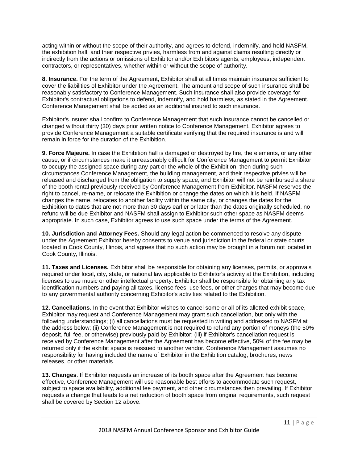acting within or without the scope of their authority, and agrees to defend, indemnify, and hold NASFM, the exhibition hall, and their respective privies, harmless from and against claims resulting directly or indirectly from the actions or omissions of Exhibitor and/or Exhibitors agents, employees, independent contractors, or representatives, whether within or without the scope of authority.

**8. Insurance.** For the term of the Agreement, Exhibitor shall at all times maintain insurance sufficient to cover the liabilities of Exhibitor under the Agreement. The amount and scope of such insurance shall be reasonably satisfactory to Conference Management. Such insurance shall also provide coverage for Exhibitor's contractual obligations to defend, indemnify, and hold harmless, as stated in the Agreement. Conference Management shall be added as an additional insured to such insurance.

Exhibitor's insurer shall confirm to Conference Management that such insurance cannot be cancelled or changed without thirty (30) days prior written notice to Conference Management. Exhibitor agrees to provide Conference Management a suitable certificate verifying that the required insurance is and will remain in force for the duration of the Exhibition.

**9. Force Majeure.** In case the Exhibition hall is damaged or destroyed by fire, the elements, or any other cause, or if circumstances make it unreasonably difficult for Conference Management to permit Exhibitor to occupy the assigned space during any part or the whole of the Exhibition, then during such circumstances Conference Management, the building management, and their respective privies will be released and discharged from the obligation to supply space, and Exhibitor will not be reimbursed a share of the booth rental previously received by Conference Management from Exhibitor. NASFM reserves the right to cancel, re-name, or relocate the Exhibition or change the dates on which it is held. If NASFM changes the name, relocates to another facility within the same city, or changes the dates for the Exhibition to dates that are not more than 30 days earlier or later than the dates originally scheduled, no refund will be due Exhibitor and NASFM shall assign to Exhibitor such other space as NASFM deems appropriate. In such case, Exhibitor agrees to use such space under the terms of the Agreement.

**10. Jurisdiction and Attorney Fees.** Should any legal action be commenced to resolve any dispute under the Agreement Exhibitor hereby consents to venue and jurisdiction in the federal or state courts located in Cook County, Illinois, and agrees that no such action may be brought in a forum not located in Cook County, Illinois.

**11. Taxes and Licenses.** Exhibitor shall be responsible for obtaining any licenses, permits, or approvals required under local, city, state, or national law applicable to Exhibitor's activity at the Exhibition, including licenses to use music or other intellectual property. Exhibitor shall be responsible for obtaining any tax identification numbers and paying all taxes, license fees, use fees, or other charges that may become due to any governmental authority concerning Exhibitor's activities related to the Exhibition.

**12. Cancellations**. In the event that Exhibitor wishes to cancel some or all of its allotted exhibit space, Exhibitor may request and Conference Management may grant such cancellation, but only with the following understandings; (i) all cancellations must be requested in writing and addressed to NASFM at the address below; (ii) Conference Management is not required to refund any portion of moneys (the 50% deposit, full fee, or otherwise) previously paid by Exhibitor; (iii) if Exhibitor's cancellation request is received by Conference Management after the Agreement has become effective, 50% of the fee may be returned only if the exhibit space is reissued to another vendor. Conference Management assumes no responsibility for having included the name of Exhibitor in the Exhibition catalog, brochures, news releases, or other materials.

**13. Changes**. If Exhibitor requests an increase of its booth space after the Agreement has become effective, Conference Management will use reasonable best efforts to accommodate such request, subject to space availability, additional fee payment, and other circumstances then prevailing. If Exhibitor requests a change that leads to a net reduction of booth space from original requirements, such request shall be covered by Section 12 above.